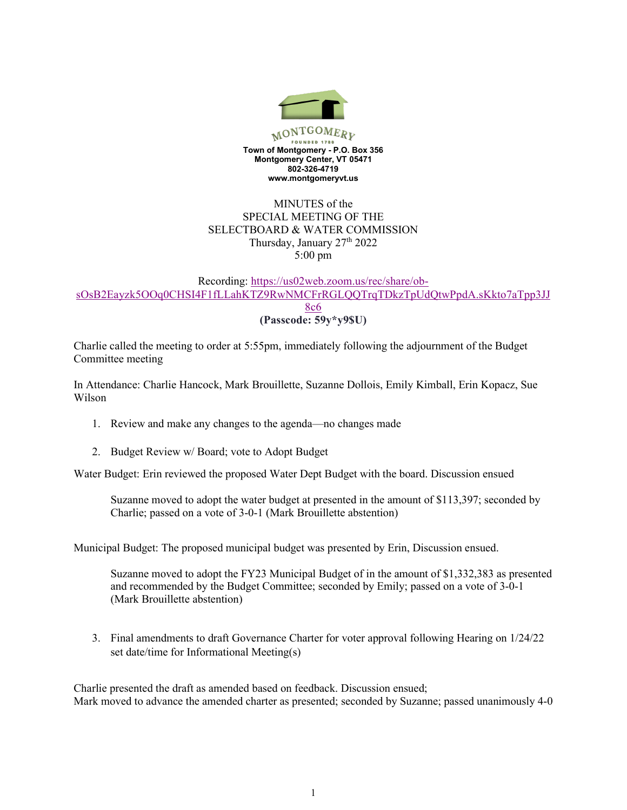

## MINUTES of the SPECIAL MEETING OF THE SELECTBOARD & WATER COMMISSION Thursday, January 27<sup>th</sup> 2022 5:00 pm

## Recording: https://us02web.zoom.us/rec/share/obsOsB2Eayzk5OOq0CHSI4F1fLLahKTZ9RwNMCFrRGLQQTrqTDkzTpUdQtwPpdA.sKkto7aTpp3JJ 8c6 **(Passcode: 59y\*y9\$U)**

Charlie called the meeting to order at 5:55pm, immediately following the adjournment of the Budget Committee meeting

In Attendance: Charlie Hancock, Mark Brouillette, Suzanne Dollois, Emily Kimball, Erin Kopacz, Sue Wilson

- 1. Review and make any changes to the agenda—no changes made
- 2. Budget Review w/ Board; vote to Adopt Budget

Water Budget: Erin reviewed the proposed Water Dept Budget with the board. Discussion ensued

Suzanne moved to adopt the water budget at presented in the amount of \$113,397; seconded by Charlie; passed on a vote of 3-0-1 (Mark Brouillette abstention)

Municipal Budget: The proposed municipal budget was presented by Erin, Discussion ensued.

Suzanne moved to adopt the FY23 Municipal Budget of in the amount of \$1,332,383 as presented and recommended by the Budget Committee; seconded by Emily; passed on a vote of 3-0-1 (Mark Brouillette abstention)

3. Final amendments to draft Governance Charter for voter approval following Hearing on 1/24/22 set date/time for Informational Meeting(s)

Charlie presented the draft as amended based on feedback. Discussion ensued; Mark moved to advance the amended charter as presented; seconded by Suzanne; passed unanimously 4-0